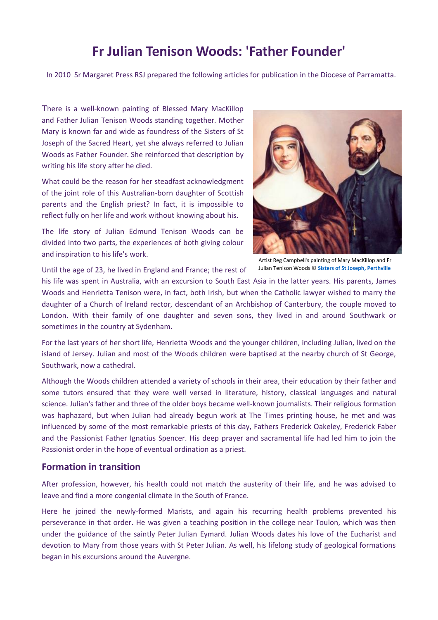# **Fr Julian Tenison Woods: 'Father Founder'**

In 2010 Sr Margaret Press RSJ prepared the following articles for publication in the Diocese of Parramatta.

There is a well-known painting of Blessed Mary MacKillop and Father Julian Tenison Woods standing together. Mother Mary is known far and wide as foundress of the Sisters of St Joseph of the Sacred Heart, yet she always referred to Julian Woods as Father Founder. She reinforced that description by writing his life story after he died.

What could be the reason for her steadfast acknowledgment of the joint role of this Australian-born daughter of Scottish parents and the English priest? In fact, it is impossible to reflect fully on her life and work without knowing about his.

The life story of Julian Edmund Tenison Woods can be divided into two parts, the experiences of both giving colour and inspiration to his life's work.



Artist Reg Campbell's painting of Mary MacKillop and Fr Julian Tenison Woods © **[Sisters of St Joseph, Perthville](http://www.perthvillesisters.catholic.org.au/)**

Until the age of 23, he lived in England and France; the rest of

his life was spent in Australia, with an excursion to South East Asia in the latter years. His parents, James Woods and Henrietta Tenison were, in fact, both Irish, but when the Catholic lawyer wished to marry the daughter of a Church of Ireland rector, descendant of an Archbishop of Canterbury, the couple moved to London. With their family of one daughter and seven sons, they lived in and around Southwark or sometimes in the country at Sydenham.

For the last years of her short life, Henrietta Woods and the younger children, including Julian, lived on the island of Jersey. Julian and most of the Woods children were baptised at the nearby church of St George, Southwark, now a cathedral.

Although the Woods children attended a variety of schools in their area, their education by their father and some tutors ensured that they were well versed in literature, history, classical languages and natural science. Julian's father and three of the older boys became well-known journalists. Their religious formation was haphazard, but when Julian had already begun work at The Times printing house, he met and was influenced by some of the most remarkable priests of this day, Fathers Frederick Oakeley, Frederick Faber and the Passionist Father Ignatius Spencer. His deep prayer and sacramental life had led him to join the Passionist order in the hope of eventual ordination as a priest.

#### **Formation in transition**

After profession, however, his health could not match the austerity of their life, and he was advised to leave and find a more congenial climate in the South of France.

Here he joined the newly-formed Marists, and again his recurring health problems prevented his perseverance in that order. He was given a teaching position in the college near Toulon, which was then under the guidance of the saintly Peter Julian Eymard. Julian Woods dates his love of the Eucharist and devotion to Mary from those years with St Peter Julian. As well, his lifelong study of geological formations began in his excursions around the Auvergne.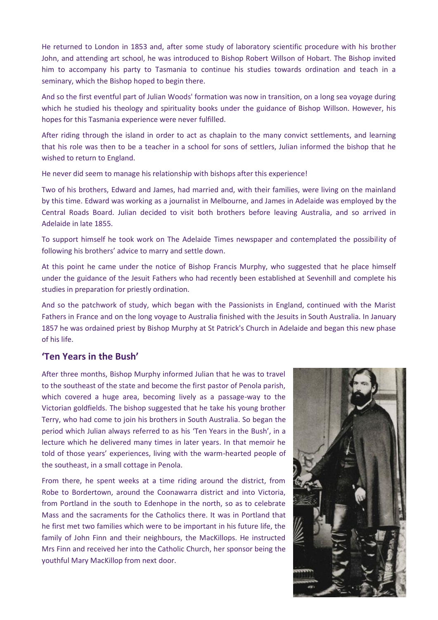He returned to London in 1853 and, after some study of laboratory scientific procedure with his brother John, and attending art school, he was introduced to Bishop Robert Willson of Hobart. The Bishop invited him to accompany his party to Tasmania to continue his studies towards ordination and teach in a seminary, which the Bishop hoped to begin there.

And so the first eventful part of Julian Woods' formation was now in transition, on a long sea voyage during which he studied his theology and spirituality books under the guidance of Bishop Willson. However, his hopes for this Tasmania experience were never fulfilled.

After riding through the island in order to act as chaplain to the many convict settlements, and learning that his role was then to be a teacher in a school for sons of settlers, Julian informed the bishop that he wished to return to England.

He never did seem to manage his relationship with bishops after this experience!

Two of his brothers, Edward and James, had married and, with their families, were living on the mainland by this time. Edward was working as a journalist in Melbourne, and James in Adelaide was employed by the Central Roads Board. Julian decided to visit both brothers before leaving Australia, and so arrived in Adelaide in late 1855.

To support himself he took work on The Adelaide Times newspaper and contemplated the possibility of following his brothers' advice to marry and settle down.

At this point he came under the notice of Bishop Francis Murphy, who suggested that he place himself under the guidance of the Jesuit Fathers who had recently been established at Sevenhill and complete his studies in preparation for priestly ordination.

And so the patchwork of study, which began with the Passionists in England, continued with the Marist Fathers in France and on the long voyage to Australia finished with the Jesuits in South Australia. In January 1857 he was ordained priest by Bishop Murphy at St Patrick's Church in Adelaide and began this new phase of his life.

### **'Ten Years in the Bush'**

After three months, Bishop Murphy informed Julian that he was to travel to the southeast of the state and become the first pastor of Penola parish, which covered a huge area, becoming lively as a passage-way to the Victorian goldfields. The bishop suggested that he take his young brother Terry, who had come to join his brothers in South Australia. So began the period which Julian always referred to as his 'Ten Years in the Bush', in a lecture which he delivered many times in later years. In that memoir he told of those years' experiences, living with the warm-hearted people of the southeast, in a small cottage in Penola.

From there, he spent weeks at a time riding around the district, from Robe to Bordertown, around the Coonawarra district and into Victoria, from Portland in the south to Edenhope in the north, so as to celebrate Mass and the sacraments for the Catholics there. It was in Portland that he first met two families which were to be important in his future life, the family of John Finn and their neighbours, the MacKillops. He instructed Mrs Finn and received her into the Catholic Church, her sponsor being the youthful Mary MacKillop from next door.

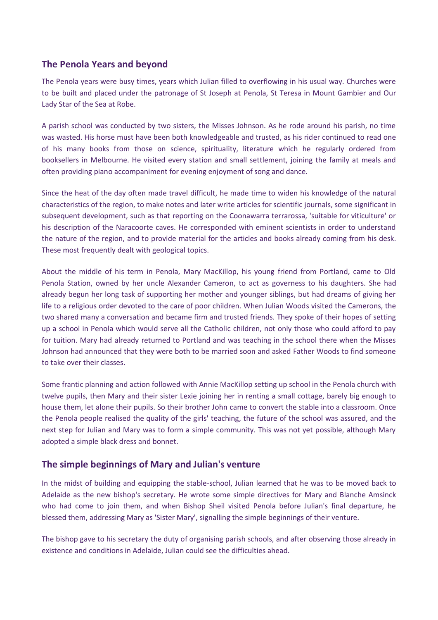## **The Penola Years and beyond**

The Penola years were busy times, years which Julian filled to overflowing in his usual way. Churches were to be built and placed under the patronage of St Joseph at Penola, St Teresa in Mount Gambier and Our Lady Star of the Sea at Robe.

A parish school was conducted by two sisters, the Misses Johnson. As he rode around his parish, no time was wasted. His horse must have been both knowledgeable and trusted, as his rider continued to read one of his many books from those on science, spirituality, literature which he regularly ordered from booksellers in Melbourne. He visited every station and small settlement, joining the family at meals and often providing piano accompaniment for evening enjoyment of song and dance.

Since the heat of the day often made travel difficult, he made time to widen his knowledge of the natural characteristics of the region, to make notes and later write articles for scientific journals, some significant in subsequent development, such as that reporting on the Coonawarra terrarossa, 'suitable for viticulture' or his description of the Naracoorte caves. He corresponded with eminent scientists in order to understand the nature of the region, and to provide material for the articles and books already coming from his desk. These most frequently dealt with geological topics.

About the middle of his term in Penola, Mary MacKillop, his young friend from Portland, came to Old Penola Station, owned by her uncle Alexander Cameron, to act as governess to his daughters. She had already begun her long task of supporting her mother and younger siblings, but had dreams of giving her life to a religious order devoted to the care of poor children. When Julian Woods visited the Camerons, the two shared many a conversation and became firm and trusted friends. They spoke of their hopes of setting up a school in Penola which would serve all the Catholic children, not only those who could afford to pay for tuition. Mary had already returned to Portland and was teaching in the school there when the Misses Johnson had announced that they were both to be married soon and asked Father Woods to find someone to take over their classes.

Some frantic planning and action followed with Annie MacKillop setting up school in the Penola church with twelve pupils, then Mary and their sister Lexie joining her in renting a small cottage, barely big enough to house them, let alone their pupils. So their brother John came to convert the stable into a classroom. Once the Penola people realised the quality of the girls' teaching, the future of the school was assured, and the next step for Julian and Mary was to form a simple community. This was not yet possible, although Mary adopted a simple black dress and bonnet.

### **The simple beginnings of Mary and Julian's venture**

In the midst of building and equipping the stable-school, Julian learned that he was to be moved back to Adelaide as the new bishop's secretary. He wrote some simple directives for Mary and Blanche Amsinck who had come to join them, and when Bishop Sheil visited Penola before Julian's final departure, he blessed them, addressing Mary as 'Sister Mary', signalling the simple beginnings of their venture.

The bishop gave to his secretary the duty of organising parish schools, and after observing those already in existence and conditions in Adelaide, Julian could see the difficulties ahead.